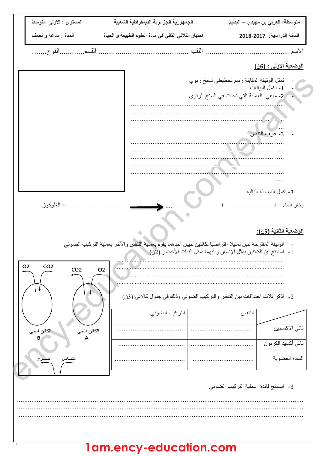| المستوى : الاولى متوسط                                                 | الجمهورية الجزائرية الديمقراطية الشعبية                                                                    | متوسطة: العربي بن مهيدي ـــ البطيم                                                                                                                                                |
|------------------------------------------------------------------------|------------------------------------------------------------------------------------------------------------|-----------------------------------------------------------------------------------------------------------------------------------------------------------------------------------|
| المدة : ساعة و نصف                                                     | اختبار الثلاثي الثاني في مادة العلوم الطبيعة و الحياة                                                      | السنة الدراسية: 2017-2018                                                                                                                                                         |
|                                                                        |                                                                                                            |                                                                                                                                                                                   |
|                                                                        |                                                                                                            | الوضعية الاولى : (6 <u>ن)</u>                                                                                                                                                     |
| + الغلوكوز                                                             |                                                                                                            | تمثل الوثيقة المقابلة رسم تخطيطي لسنخ رئوي<br>1- اكمل البيانات<br>-    2- ماهي   العملية التي تحدث في السنخ الرئوي<br>3- عرف التنفس<br>3- اكمل المعادلة التالية :<br>بخار الماء + |
|                                                                        | الوثيقة المقترحة تبين تمثيلا افتر اضيا لكائنين حيين أحدهما يقوم بعملية التنفس والأخر بعملية التركيب الضوئي | <u>الوضعية الثانية (5ن):</u><br>1-   استنتج أيِّ الكائنين يمثل الإنسان و أيهما يمثل النبات الأخضر .(2ن) ﴿                                                                         |
| O <sub>2</sub><br>CO <sub>2</sub><br>CO <sub>2</sub><br>O <sub>2</sub> | 2- أذكر ثلاث اختلافات بين التنفس والتركيب الضوئي وذلك في جدول كالآتي:(3ن)                                  |                                                                                                                                                                                   |
|                                                                        | التركيب الضوئ <i>ي</i>                                                                                     | التنفس                                                                                                                                                                            |
| الكائن الحي<br>الكائن الحي                                             |                                                                                                            | ثاني الاكسجين                                                                                                                                                                     |
|                                                                        |                                                                                                            | ثاني أكسيد الكربون                                                                                                                                                                |
|                                                                        |                                                                                                            | المادة العضوية                                                                                                                                                                    |
|                                                                        |                                                                                                            | 3- استنتج فائدة عملية التركيب الضوئي                                                                                                                                              |
|                                                                        |                                                                                                            |                                                                                                                                                                                   |

## **1am.ency-education.com**